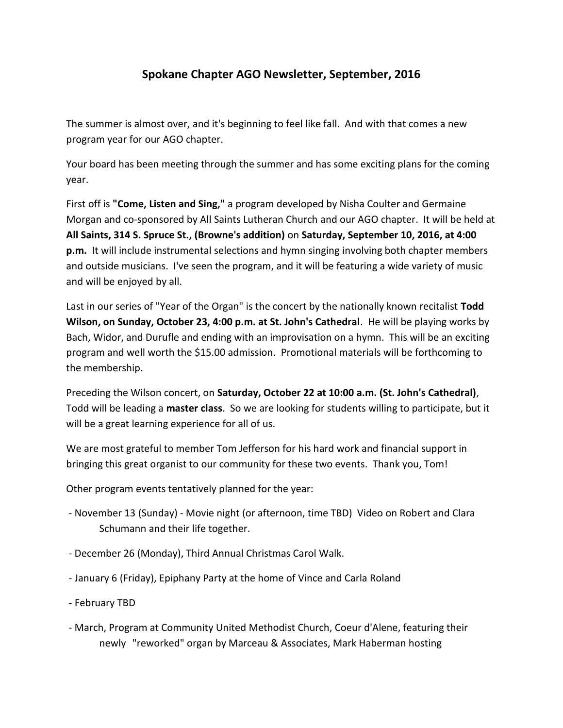## **Spokane Chapter AGO Newsletter, September, 2016**

The summer is almost over, and it's beginning to feel like fall. And with that comes a new program year for our AGO chapter.

Your board has been meeting through the summer and has some exciting plans for the coming year.

First off is **"Come, Listen and Sing,"** a program developed by Nisha Coulter and Germaine Morgan and co-sponsored by All Saints Lutheran Church and our AGO chapter. It will be held at **All Saints, 314 S. Spruce St., (Browne's addition)** on **Saturday, September 10, 2016, at 4:00 p.m.** It will include instrumental selections and hymn singing involving both chapter members and outside musicians. I've seen the program, and it will be featuring a wide variety of music and will be enjoyed by all.

Last in our series of "Year of the Organ" is the concert by the nationally known recitalist **Todd Wilson, on Sunday, October 23, 4:00 p.m. at St. John's Cathedral**. He will be playing works by Bach, Widor, and Durufle and ending with an improvisation on a hymn. This will be an exciting program and well worth the \$15.00 admission. Promotional materials will be forthcoming to the membership.

Preceding the Wilson concert, on **Saturday, October 22 at 10:00 a.m. (St. John's Cathedral)**, Todd will be leading a **master class**. So we are looking for students willing to participate, but it will be a great learning experience for all of us.

We are most grateful to member Tom Jefferson for his hard work and financial support in bringing this great organist to our community for these two events. Thank you, Tom!

Other program events tentatively planned for the year:

- November 13 (Sunday) Movie night (or afternoon, time TBD) Video on Robert and Clara Schumann and their life together.
- December 26 (Monday), Third Annual Christmas Carol Walk.
- January 6 (Friday), Epiphany Party at the home of Vince and Carla Roland
- February TBD
- March, Program at Community United Methodist Church, Coeur d'Alene, featuring their newly "reworked" organ by Marceau & Associates, Mark Haberman hosting